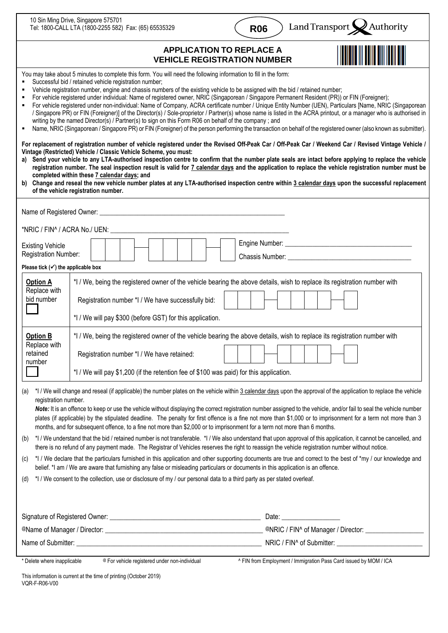| 10 Sin Ming Drive, Singapore 575701<br>Tel: 1800-CALL LTA (1800-2255 582) Fax: (65) 65535329                                                                                                                                                                                                                                                                                                                                                                                                                                                                                                                                                                                                                                                                                                                                                                                                                                                                                                                                                                                                                                                                                                                                                                                                                                                                                                                                                                                  |                                                                                                                                                                                                                                                                     | <b>R06</b> |                                                      | Land Transport $\bigotimes$ Authority |  |
|-------------------------------------------------------------------------------------------------------------------------------------------------------------------------------------------------------------------------------------------------------------------------------------------------------------------------------------------------------------------------------------------------------------------------------------------------------------------------------------------------------------------------------------------------------------------------------------------------------------------------------------------------------------------------------------------------------------------------------------------------------------------------------------------------------------------------------------------------------------------------------------------------------------------------------------------------------------------------------------------------------------------------------------------------------------------------------------------------------------------------------------------------------------------------------------------------------------------------------------------------------------------------------------------------------------------------------------------------------------------------------------------------------------------------------------------------------------------------------|---------------------------------------------------------------------------------------------------------------------------------------------------------------------------------------------------------------------------------------------------------------------|------------|------------------------------------------------------|---------------------------------------|--|
| <b>APPLICATION TO REPLACE A</b><br><b>VEHICLE REGISTRATION NUMBER</b>                                                                                                                                                                                                                                                                                                                                                                                                                                                                                                                                                                                                                                                                                                                                                                                                                                                                                                                                                                                                                                                                                                                                                                                                                                                                                                                                                                                                         |                                                                                                                                                                                                                                                                     |            |                                                      |                                       |  |
| You may take about 5 minutes to complete this form. You will need the following information to fill in the form:<br>Successful bid / retained vehicle registration number;<br>Vehicle registration number, engine and chassis numbers of the existing vehicle to be assigned with the bid / retained number;<br>For vehicle registered under individual: Name of registered owner, NRIC (Singaporean / Singapore Permanent Resident (PR)) or FIN (Foreigner);<br>For vehicle registered under non-individual: Name of Company, ACRA certificate number / Unique Entity Number (UEN), Particulars [Name, NRIC (Singaporean<br>٠<br>/ Singapore PR) or FIN (Foreigner)] of the Director(s) / Sole-proprietor / Partner(s) whose name is listed in the ACRA printout, or a manager who is authorised in<br>writing by the named Director(s) / Partner(s) to sign on this Form R06 on behalf of the company; and<br>Name, NRIC (Singaporean / Singapore PR) or FIN (Foreigner) of the person performing the transaction on behalf of the registered owner (also known as submitter).<br>٠<br>For replacement of registration number of vehicle registered under the Revised Off-Peak Car / Off-Peak Car / Weekend Car / Revised Vintage Vehicle /<br>Vintage (Restricted) Vehicle / Classic Vehicle Scheme, you must:<br>Send your vehicle to any LTA-authorised inspection centre to confirm that the number plate seals are intact before applying to replace the vehicle<br>a) |                                                                                                                                                                                                                                                                     |            |                                                      |                                       |  |
| registration number. The seal inspection result is valid for 7 calendar days and the application to replace the vehicle registration number must be<br>completed within these 7 calendar days; and<br>b) Change and reseal the new vehicle number plates at any LTA-authorised inspection centre within 3 calendar days upon the successful replacement<br>of the vehicle registration number.                                                                                                                                                                                                                                                                                                                                                                                                                                                                                                                                                                                                                                                                                                                                                                                                                                                                                                                                                                                                                                                                                |                                                                                                                                                                                                                                                                     |            |                                                      |                                       |  |
|                                                                                                                                                                                                                                                                                                                                                                                                                                                                                                                                                                                                                                                                                                                                                                                                                                                                                                                                                                                                                                                                                                                                                                                                                                                                                                                                                                                                                                                                               |                                                                                                                                                                                                                                                                     |            |                                                      |                                       |  |
|                                                                                                                                                                                                                                                                                                                                                                                                                                                                                                                                                                                                                                                                                                                                                                                                                                                                                                                                                                                                                                                                                                                                                                                                                                                                                                                                                                                                                                                                               |                                                                                                                                                                                                                                                                     |            |                                                      |                                       |  |
| <b>Existing Vehicle</b><br>Registration Number:<br>Please tick $(\checkmark)$ the applicable box                                                                                                                                                                                                                                                                                                                                                                                                                                                                                                                                                                                                                                                                                                                                                                                                                                                                                                                                                                                                                                                                                                                                                                                                                                                                                                                                                                              |                                                                                                                                                                                                                                                                     |            |                                                      |                                       |  |
| <b>Option A</b><br>Replace with<br>bid number                                                                                                                                                                                                                                                                                                                                                                                                                                                                                                                                                                                                                                                                                                                                                                                                                                                                                                                                                                                                                                                                                                                                                                                                                                                                                                                                                                                                                                 | *I / We, being the registered owner of the vehicle bearing the above details, wish to replace its registration number with<br>Registration number *I / We have successfully bid:<br>*I / We will pay \$300 (before GST) for this application.                       |            |                                                      |                                       |  |
| <b>Option B</b><br>Replace with<br>retained<br>number                                                                                                                                                                                                                                                                                                                                                                                                                                                                                                                                                                                                                                                                                                                                                                                                                                                                                                                                                                                                                                                                                                                                                                                                                                                                                                                                                                                                                         | *I / We, being the registered owner of the vehicle bearing the above details, wish to replace its registration number with<br>Registration number *I / We have retained:<br>*I / We will pay \$1,200 (if the retention fee of \$100 was paid) for this application. |            |                                                      |                                       |  |
| *I / We will change and reseal (if applicable) the number plates on the vehicle within 3 calendar days upon the approval of the application to replace the vehicle<br>(a)<br>registration number.<br>Note: It is an offence to keep or use the vehicle without displaying the correct registration number assigned to the vehicle, and/or fail to seal the vehicle number<br>plates (if applicable) by the stipulated deadline. The penalty for first offence is a fine not more than \$1,000 or to imprisonment for a term not more than 3<br>months, and for subsequent offence, to a fine not more than \$2,000 or to imprisonment for a term not more than 6 months.<br>*I / We understand that the bid / retained number is not transferable. *I / We also understand that upon approval of this application, it cannot be cancelled, and<br>(b)<br>there is no refund of any payment made. The Registrar of Vehicles reserves the right to reassign the vehicle registration number without notice.<br>*I / We declare that the particulars furnished in this application and other supporting documents are true and correct to the best of *my / our knowledge and<br>(C)<br>belief. *I am / We are aware that furnishing any false or misleading particulars or documents in this application is an offence.<br>*I / We consent to the collection, use or disclosure of my / our personal data to a third party as per stated overleaf.<br>(d)                       |                                                                                                                                                                                                                                                                     |            |                                                      |                                       |  |
|                                                                                                                                                                                                                                                                                                                                                                                                                                                                                                                                                                                                                                                                                                                                                                                                                                                                                                                                                                                                                                                                                                                                                                                                                                                                                                                                                                                                                                                                               |                                                                                                                                                                                                                                                                     |            |                                                      |                                       |  |
|                                                                                                                                                                                                                                                                                                                                                                                                                                                                                                                                                                                                                                                                                                                                                                                                                                                                                                                                                                                                                                                                                                                                                                                                                                                                                                                                                                                                                                                                               |                                                                                                                                                                                                                                                                     |            | @NRIC / FIN^ of Manager / Director: ________________ |                                       |  |
| Name of Submitter: University of Submitter:                                                                                                                                                                                                                                                                                                                                                                                                                                                                                                                                                                                                                                                                                                                                                                                                                                                                                                                                                                                                                                                                                                                                                                                                                                                                                                                                                                                                                                   |                                                                                                                                                                                                                                                                     |            |                                                      |                                       |  |
| * Delete where inapplicable<br>^ FIN from Employment / Immigration Pass Card issued by MOM / ICA<br>@ For vehicle registered under non-individual                                                                                                                                                                                                                                                                                                                                                                                                                                                                                                                                                                                                                                                                                                                                                                                                                                                                                                                                                                                                                                                                                                                                                                                                                                                                                                                             |                                                                                                                                                                                                                                                                     |            |                                                      |                                       |  |

٦